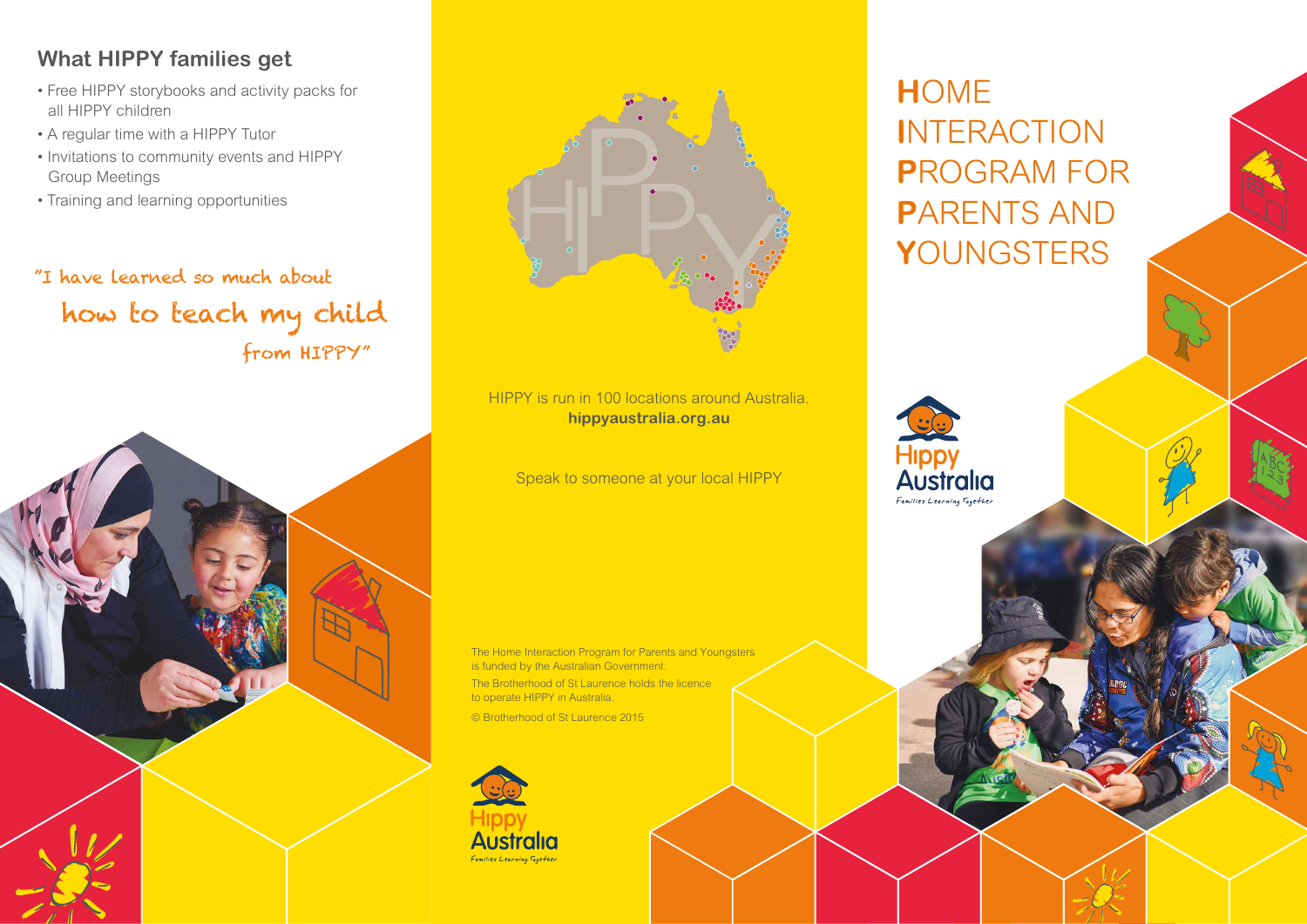## **What HIPPY families get**

- Free HIPPY storybooks and activity packs for all HIPPY children
- A regular time with a HIPPY Tutor
- Invitations to community events and HIPPY Group Meetings
- Training and learning opportunities

"I have learned so much about how to teach my child from HIPPY"





HIPPY is run in 100 locations around Australia. **hippyaustralia.org.au**

Speak to someone at your local HIPPY

The Home Interaction Program for Parents and Youngsters is funded by the Australian Government. The Brotherhood of St Laurence holds the licence to operate HIPPY in Australia. © Brotherhood of St Laurence 2015



**H**OME **I**NTERACTION **P**ROGRAM FOR **P**ARENTS AND **Y**OUNGSTERS